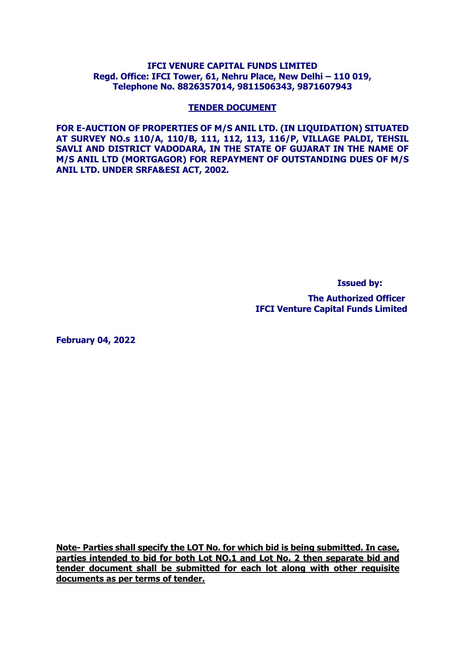### **IFCI VENURE CAPITAL FUNDS LIMITED Regd. Office: IFCI Tower, 61, Nehru Place, New Delhi - 110 019, Telephone No. 8826357014, 9811506343, 9871607943**

#### **TENDER DOCUMENT**

**FOR E-AUCTION OF PROPERTIES OF M/S ANIL LTD. (IN LIQUIDATION) SITUATED AT SURVEY NO.s 110/A, 110/B, 111, 112, 113, 116/P, VILLAGE PALDI, TEHSIL SAVLI AND DISTRICT VADODARA, IN THE STATE OF GUJARAT IN THE NAME OF M/S ANIL LTD (MORTGAGOR) FOR REPAYMENT OF OUTSTANDING DUES OF M/S ANIL LTD. UNDER SRFA&ESI ACT, 2002.**

**Issued by:**

 **The Authorized Officer IFCI Venture Capital Funds Limited**

**February 04, 2022**

**Note- Parties shall specify the LOT No. for which bid is being submitted. In case, parties intended to bid for both Lot NO.1 and Lot No. 2 then separate bid and tender document shall be submitted for each lot along with other requisite documents as per terms of tender.**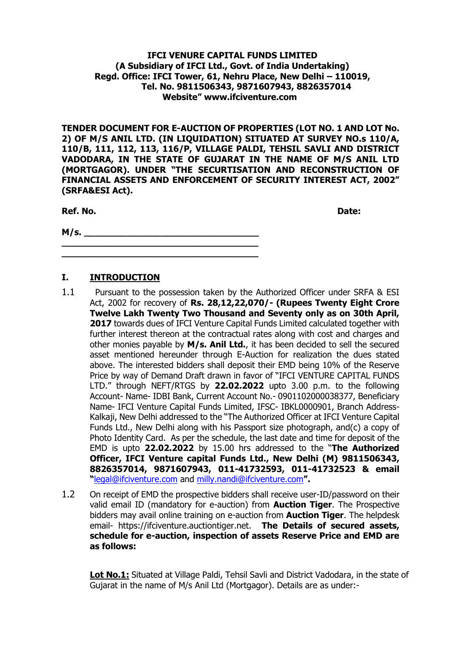### **IFCI VENURE CAPITAL FUNDS LIMITED (A Subsidiary of IFCI Ltd., Govt. of India Undertaking)** Regd. Office: IFCI Tower, 61, Nehru Place, New Delhi - 110019. **Tel. No. 9811506343, 9871607943, 8826357014 Website" www.ifciventure.com**

**TENDER DOCUMENT FOR E-AUCTION OF PROPERTIES (LOT NO. 1 AND LOT No. 2) OF M/S ANIL LTD. (IN LIQUIDATION) SITUATED AT SURVEY NO.s 110/A, 110/B, 111, 112, 113, 116/P, VILLAGE PALDI, TEHSIL SAVLI AND DISTRICT VADODARA, IN THE STATE OF GUJARAT IN THE NAME OF M/S ANIL LTD (MORTGAGOR). UNDER "THE SECURTISATION AND RECONSTRUCTION OF FINANCIAL ASSETS AND ENFORCEMENT OF SECURITY INTEREST ACT, 2002" (SRFA&ESI Act).**

**Ref. No. Date:** 

**M/s.**  $\blacksquare$ **\_\_\_\_\_\_\_\_\_\_\_\_\_\_\_\_\_\_\_\_\_\_\_\_\_\_\_\_\_\_\_\_\_\_\_\_**

**\_\_\_\_\_\_\_\_\_\_\_\_\_\_\_\_\_\_\_\_\_\_\_\_\_\_\_\_\_\_\_\_\_\_\_\_**

# **I. INTRODUCTION**

- 1.1 Pursuant to the possession taken by the Authorized Officer under SRFA & ESI Act, 2002 for recovery of **Rs. 28,12,22,070/- (Rupees Twenty Eight Crore Twelve Lakh Twenty Two Thousand and Seventy only as on 30th April, 2017** towards dues of IFCI Venture Capital Funds Limited calculated together with further interest thereon at the contractual rates along with cost and charges and other monies payable by **M/s. Anil Ltd.**, it has been decided to sell the secured asset mentioned hereunder through E-Auction for realization the dues stated above. The interested bidders shall deposit their EMD being 10% of the Reserve Price by way of Demand Draft drawn in favor of "IFCI VENTURE CAPITAL FUNDS LTD." through NEFT/RTGS by **22.02.2022** upto 3.00 p.m. to the following Account- Name- IDBI Bank, Current Account No.- 0901102000038377, Beneficiary Name- IFCI Venture Capital Funds Limited, IFSC- IBKL0000901, Branch Address-Kalkaji, New Delhi addressed to the "The Authorized Officer at IFCI Venture Capital Funds Ltd., New Delhi along with his Passport size photograph, and(c) a copy of Photo Identity Card. As per the schedule, the last date and time for deposit of the EMD is upto **22.02.2022** by 15.00 hrs addressed to the "**The Authorized Officer, IFCI Venture capital Funds Ltd., New Delhi (M) 9811506343, 8826357014, 9871607943, 011-41732593, 011-41732523 & email "**[legal@ifciventure.com](mailto:legal@ifciventure.com) and [milly.nandi@ifciventure.com](mailto:milly.nandi@ifciventure.com)**".**
- 1.2 On receipt of EMD the prospective bidders shall receive user-ID/password on their valid email ID (mandatory for e-auction) from **Auction Tiger**. The Prospective bidders may avail online training on e-auction from **Auction Tiger**. The helpdesk email- https://ifciventure.auctiontiger.net. **The Details of secured assets, schedule for e-auction, inspection of assets Reserve Price and EMD are as follows:**

**Lot No.1:** Situated at Village Paldi, Tehsil Savli and District Vadodara, in the state of Gujarat in the name of M/s Anil Ltd (Mortgagor). Details are as under:-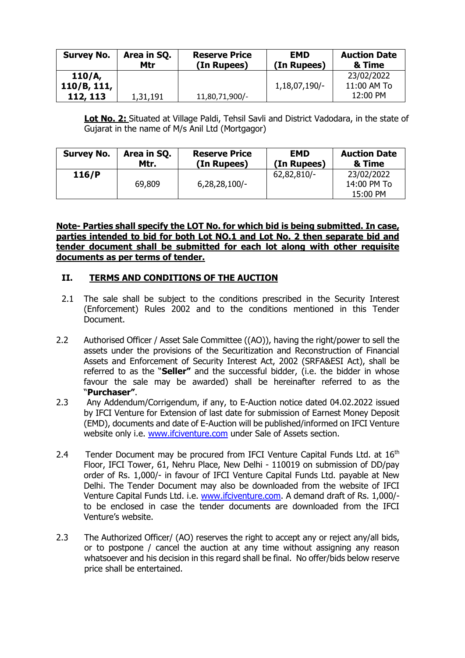| <b>Survey No.</b> | Area in SQ.<br>Mtr | <b>Reserve Price</b><br>(In Rupees) | <b>EMD</b><br>(In Rupees) | <b>Auction Date</b><br>& Time |
|-------------------|--------------------|-------------------------------------|---------------------------|-------------------------------|
| 110/A             |                    |                                     |                           | 23/02/2022                    |
| 110/B, 111,       |                    |                                     | 1,18,07,190/-             | 11:00 AM To                   |
| 112, 113          | 1,31,191           | 11,80,71,900/-                      |                           | $12:00 \text{ PM}$            |

**Lot No. 2:** Situated at Village Paldi, Tehsil Savli and District Vadodara, in the state of Gujarat in the name of M/s Anil Ltd (Mortgagor)

| <b>Survey No.</b> | Area in SQ.<br>Mtr. | <b>Reserve Price</b><br>(In Rupees) | <b>EMD</b><br>(In Rupees) | <b>Auction Date</b><br>& Time |
|-------------------|---------------------|-------------------------------------|---------------------------|-------------------------------|
| 116/P             | 69,809              | $6,28,28,100$ <sup>-</sup>          | $62,82,810/-$             | 23/02/2022<br>14:00 PM To     |
|                   |                     |                                     |                           | 15:00 PM                      |

### **Note- Parties shall specify the LOT No. for which bid is being submitted. In case, parties intended to bid for both Lot NO.1 and Lot No. 2 then separate bid and tender document shall be submitted for each lot along with other requisite documents as per terms of tender.**

## **II. TERMS AND CONDITIONS OF THE AUCTION**

- 2.1 The sale shall be subject to the conditions prescribed in the Security Interest (Enforcement) Rules 2002 and to the conditions mentioned in this Tender Document.
- 2.2 Authorised Officer / Asset Sale Committee ((AO)), having the right/power to sell the assets under the provisions of the Securitization and Reconstruction of Financial Assets and Enforcement of Security Interest Act, 2002 (SRFA&ESI Act), shall be referred to as the "**Seller"** and the successful bidder, (i.e. the bidder in whose favour the sale may be awarded) shall be hereinafter referred to as the "**Purchaser"**.
- 2.3 Any Addendum/Corrigendum, if any, to E-Auction notice dated 04.02.2022 issued by IFCI Venture for Extension of last date for submission of Earnest Money Deposit (EMD), documents and date of E-Auction will be published/informed on IFCI Venture website only i.e. [www.ifciventure.com](http://www.ifciventure.com/) under Sale of Assets section.
- 2.4 Tender Document may be procured from IFCI Venture Capital Funds Ltd. at  $16<sup>th</sup>$ Floor, IFCI Tower, 61, Nehru Place, New Delhi - 110019 on submission of DD/pay order of Rs. 1,000/- in favour of IFCI Venture Capital Funds Ltd. payable at New Delhi. The Tender Document may also be downloaded from the website of IFCI Venture Capital Funds Ltd. i.e. [www.ifciventure.com.](http://www.ifciventure.com/) A demand draft of Rs. 1,000/ to be enclosed in case the tender documents are downloaded from the IFCI Venture's website.
- 2.3 The Authorized Officer/ (AO) reserves the right to accept any or reject any/all bids, or to postpone / cancel the auction at any time without assigning any reason whatsoever and his decision in this regard shall be final. No offer/bids below reserve price shall be entertained.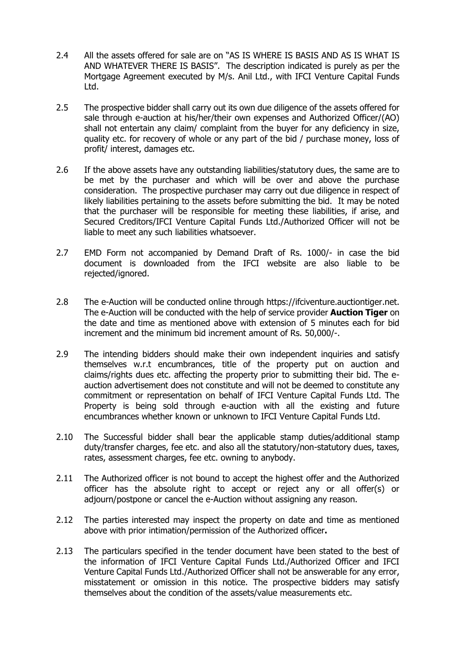- 2.4 All the assets offered for sale are on "AS IS WHERE IS BASIS AND AS IS WHAT IS AND WHATEVER THERE IS BASIS". The description indicated is purely as per the Mortgage Agreement executed by M/s. Anil Ltd., with IFCI Venture Capital Funds Ltd.
- 2.5 The prospective bidder shall carry out its own due diligence of the assets offered for sale through e-auction at his/her/their own expenses and Authorized Officer/(AO) shall not entertain any claim/ complaint from the buyer for any deficiency in size, quality etc. for recovery of whole or any part of the bid / purchase money, loss of profit/ interest, damages etc.
- 2.6 If the above assets have any outstanding liabilities/statutory dues, the same are to be met by the purchaser and which will be over and above the purchase consideration. The prospective purchaser may carry out due diligence in respect of likely liabilities pertaining to the assets before submitting the bid. It may be noted that the purchaser will be responsible for meeting these liabilities, if arise, and Secured Creditors/IFCI Venture Capital Funds Ltd./Authorized Officer will not be liable to meet any such liabilities whatsoever.
- 2.7 EMD Form not accompanied by Demand Draft of Rs. 1000/- in case the bid document is downloaded from the IFCI website are also liable to be rejected/ignored.
- 2.8 The e-Auction will be conducted online through https://ifciventure.auctiontiger.net. The e-Auction will be conducted with the help of service provider **Auction Tiger** on the date and time as mentioned above with extension of 5 minutes each for bid increment and the minimum bid increment amount of Rs. 50,000/-.
- 2.9 The intending bidders should make their own independent inquiries and satisfy themselves w.r.t encumbrances, title of the property put on auction and claims/rights dues etc. affecting the property prior to submitting their bid. The eauction advertisement does not constitute and will not be deemed to constitute any commitment or representation on behalf of IFCI Venture Capital Funds Ltd. The Property is being sold through e-auction with all the existing and future encumbrances whether known or unknown to IFCI Venture Capital Funds Ltd.
- 2.10 The Successful bidder shall bear the applicable stamp duties/additional stamp duty/transfer charges, fee etc. and also all the statutory/non-statutory dues, taxes, rates, assessment charges, fee etc. owning to anybody.
- 2.11 The Authorized officer is not bound to accept the highest offer and the Authorized officer has the absolute right to accept or reject any or all offer(s) or adjourn/postpone or cancel the e-Auction without assigning any reason.
- 2.12 The parties interested may inspect the property on date and time as mentioned above with prior intimation/permission of the Authorized officer**.**
- 2.13 The particulars specified in the tender document have been stated to the best of the information of IFCI Venture Capital Funds Ltd./Authorized Officer and IFCI Venture Capital Funds Ltd./Authorized Officer shall not be answerable for any error, misstatement or omission in this notice. The prospective bidders may satisfy themselves about the condition of the assets/value measurements etc.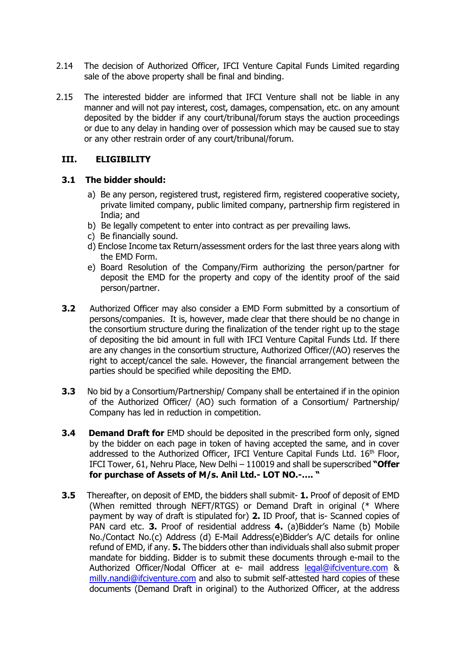- 2.14 The decision of Authorized Officer, IFCI Venture Capital Funds Limited regarding sale of the above property shall be final and binding.
- 2.15 The interested bidder are informed that IFCI Venture shall not be liable in any manner and will not pay interest, cost, damages, compensation, etc. on any amount deposited by the bidder if any court/tribunal/forum stays the auction proceedings or due to any delay in handing over of possession which may be caused sue to stay or any other restrain order of any court/tribunal/forum.

# **III. ELIGIBILITY**

## **3.1 The bidder should:**

- a) Be any person, registered trust, registered firm, registered cooperative society, private limited company, public limited company, partnership firm registered in India; and
- b) Be legally competent to enter into contract as per prevailing laws.
- c) Be financially sound.
- d) Enclose Income tax Return/assessment orders for the last three years along with the EMD Form.
- e) Board Resolution of the Company/Firm authorizing the person/partner for deposit the EMD for the property and copy of the identity proof of the said person/partner.
- **3.2** Authorized Officer may also consider a EMD Form submitted by a consortium of persons/companies. It is, however, made clear that there should be no change in the consortium structure during the finalization of the tender right up to the stage of depositing the bid amount in full with IFCI Venture Capital Funds Ltd. If there are any changes in the consortium structure, Authorized Officer/(AO) reserves the right to accept/cancel the sale. However, the financial arrangement between the parties should be specified while depositing the EMD.
- **3.3** No bid by a Consortium/Partnership/ Company shall be entertained if in the opinion of the Authorized Officer/ (AO) such formation of a Consortium/ Partnership/ Company has led in reduction in competition.
- **3.4 Demand Draft for** EMD should be deposited in the prescribed form only, signed by the bidder on each page in token of having accepted the same, and in cover addressed to the Authorized Officer, IFCI Venture Capital Funds Ltd.  $16<sup>th</sup>$  Floor, IFCI Tower, 61, Nehru Place, New Delhi – 110019 and shall be superscribed **"Offer for purchase of Assets of M/s. Anil Ltd.- LOT NO.-…. "**
- **3.5** Thereafter, on deposit of EMD, the bidders shall submit- **1.** Proof of deposit of EMD (When remitted through NEFT/RTGS) or Demand Draft in original (\* Where payment by way of draft is stipulated for) **2.** ID Proof, that is- Scanned copies of PAN card etc. **3.** Proof of residential address **4.** (a)Bidder's Name (b) Mobile No./Contact No.(c) Address (d) E-Mail Address(e)Bidder's A/C details for online refund of EMD, if any. **5.** The bidders other than individuals shall also submit proper mandate for bidding. Bidder is to submit these documents through e-mail to the Authorized Officer/Nodal Officer at e- mail address [legal@ifciventure.com](mailto:legal@ifciventure.com) & [milly.nandi@ifciventure.com](mailto:milly.nandi@ifciventure.com) and also to submit self-attested hard copies of these documents (Demand Draft in original) to the Authorized Officer, at the address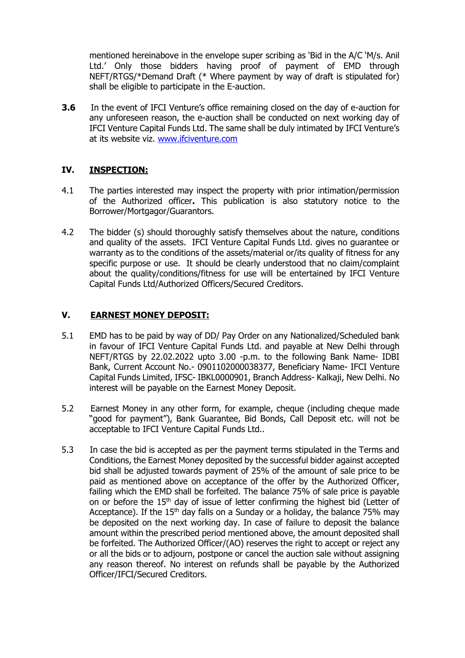mentioned hereinabove in the envelope super scribing as 'Bid in the A/C 'M/s. Anil Ltd.' Only those bidders having proof of payment of EMD through NEFT/RTGS/\*Demand Draft (\* Where payment by way of draft is stipulated for) shall be eligible to participate in the E-auction.

**3.6** In the event of IFCI Venture's office remaining closed on the day of e-auction for any unforeseen reason, the e-auction shall be conducted on next working day of IFCI Venture Capital Funds Ltd. The same shall be duly intimated by IFCI Venture's at its website viz. [www.ifciventure.com](http://www.ifciventure.com/) 

# **IV. INSPECTION:**

- 4.1 The parties interested may inspect the property with prior intimation/permission of the Authorized officer**.** This publication is also statutory notice to the Borrower/Mortgagor/Guarantors.
- 4.2 The bidder (s) should thoroughly satisfy themselves about the nature, conditions and quality of the assets. IFCI Venture Capital Funds Ltd. gives no guarantee or warranty as to the conditions of the assets/material or/its quality of fitness for any specific purpose or use. It should be clearly understood that no claim/complaint about the quality/conditions/fitness for use will be entertained by IFCI Venture Capital Funds Ltd/Authorized Officers/Secured Creditors.

## **V. EARNEST MONEY DEPOSIT:**

- 5.1 EMD has to be paid by way of DD/ Pay Order on any Nationalized/Scheduled bank in favour of IFCI Venture Capital Funds Ltd. and payable at New Delhi through NEFT/RTGS by 22.02.2022 upto 3.00 -p.m. to the following Bank Name- IDBI Bank, Current Account No.- 0901102000038377, Beneficiary Name- IFCI Venture Capital Funds Limited, IFSC- IBKL0000901, Branch Address- Kalkaji, New Delhi. No interest will be payable on the Earnest Money Deposit.
- 5.2 Earnest Money in any other form, for example, cheque (including cheque made "good for payment"), Bank Guarantee, Bid Bonds, Call Deposit etc. will not be acceptable to IFCI Venture Capital Funds Ltd..
- 5.3 In case the bid is accepted as per the payment terms stipulated in the Terms and Conditions, the Earnest Money deposited by the successful bidder against accepted bid shall be adjusted towards payment of 25% of the amount of sale price to be paid as mentioned above on acceptance of the offer by the Authorized Officer, failing which the EMD shall be forfeited. The balance 75% of sale price is payable on or before the 15<sup>th</sup> day of issue of letter confirming the highest bid (Letter of Acceptance). If the  $15<sup>th</sup>$  day falls on a Sunday or a holiday, the balance 75% may be deposited on the next working day. In case of failure to deposit the balance amount within the prescribed period mentioned above, the amount deposited shall be forfeited. The Authorized Officer/(AO) reserves the right to accept or reject any or all the bids or to adjourn, postpone or cancel the auction sale without assigning any reason thereof. No interest on refunds shall be payable by the Authorized Officer/IFCI/Secured Creditors.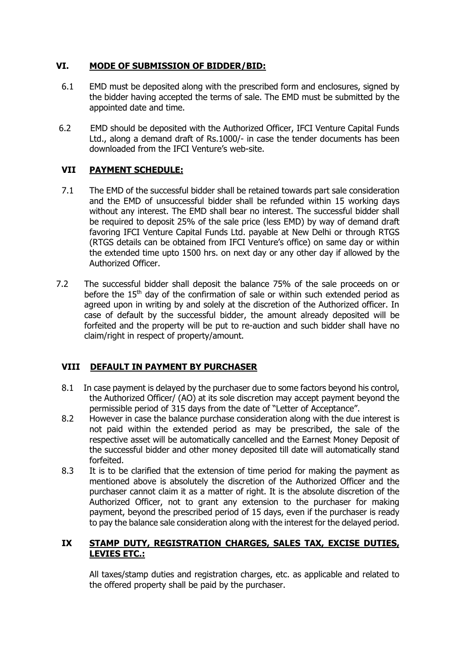# **VI. MODE OF SUBMISSION OF BIDDER/BID:**

- 6.1 EMD must be deposited along with the prescribed form and enclosures, signed by the bidder having accepted the terms of sale. The EMD must be submitted by the appointed date and time.
- 6.2 EMD should be deposited with the Authorized Officer, IFCI Venture Capital Funds Ltd., along a demand draft of Rs.1000/- in case the tender documents has been downloaded from the IFCI Venture's web-site.

# **VII PAYMENT SCHEDULE:**

- 7.1 The EMD of the successful bidder shall be retained towards part sale consideration and the EMD of unsuccessful bidder shall be refunded within 15 working days without any interest. The EMD shall bear no interest. The successful bidder shall be required to deposit 25% of the sale price (less EMD) by way of demand draft favoring IFCI Venture Capital Funds Ltd. payable at New Delhi or through RTGS (RTGS details can be obtained from IFCI Venture's office) on same day or within the extended time upto 1500 hrs. on next day or any other day if allowed by the Authorized Officer.
- 7.2 The successful bidder shall deposit the balance 75% of the sale proceeds on or before the  $15<sup>th</sup>$  day of the confirmation of sale or within such extended period as agreed upon in writing by and solely at the discretion of the Authorized officer. In case of default by the successful bidder, the amount already deposited will be forfeited and the property will be put to re-auction and such bidder shall have no claim/right in respect of property/amount.

# **VIII DEFAULT IN PAYMENT BY PURCHASER**

- 8.1In case payment is delayed by the purchaser due to some factors beyond his control, the Authorized Officer/ (AO) at its sole discretion may accept payment beyond the permissible period of 315 days from the date of "Letter of Acceptance".
- 8.2 However in case the balance purchase consideration along with the due interest is not paid within the extended period as may be prescribed, the sale of the respective asset will be automatically cancelled and the Earnest Money Deposit of the successful bidder and other money deposited till date will automatically stand forfeited.
- 8.3 It is to be clarified that the extension of time period for making the payment as mentioned above is absolutely the discretion of the Authorized Officer and the purchaser cannot claim it as a matter of right. It is the absolute discretion of the Authorized Officer, not to grant any extension to the purchaser for making payment, beyond the prescribed period of 15 days, even if the purchaser is ready to pay the balance sale consideration along with the interest for the delayed period.

# **IX STAMP DUTY, REGISTRATION CHARGES, SALES TAX, EXCISE DUTIES, LEVIES ETC.:**

All taxes/stamp duties and registration charges, etc. as applicable and related to the offered property shall be paid by the purchaser.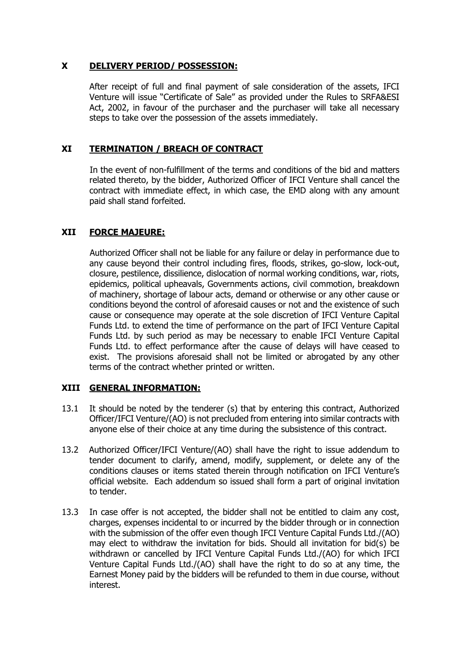## **X DELIVERY PERIOD/ POSSESSION:**

After receipt of full and final payment of sale consideration of the assets, IFCI Venture will issue "Certificate of Sale" as provided under the Rules to SRFA&ESI Act, 2002, in favour of the purchaser and the purchaser will take all necessary steps to take over the possession of the assets immediately.

# **XI TERMINATION / BREACH OF CONTRACT**

 In the event of non-fulfillment of the terms and conditions of the bid and matters related thereto, by the bidder, Authorized Officer of IFCI Venture shall cancel the contract with immediate effect, in which case, the EMD along with any amount paid shall stand forfeited.

# **XII FORCE MAJEURE:**

 Authorized Officer shall not be liable for any failure or delay in performance due to any cause beyond their control including fires, floods, strikes, go-slow, lock-out, closure, pestilence, dissilience, dislocation of normal working conditions, war, riots, epidemics, political upheavals, Governments actions, civil commotion, breakdown of machinery, shortage of labour acts, demand or otherwise or any other cause or conditions beyond the control of aforesaid causes or not and the existence of such cause or consequence may operate at the sole discretion of IFCI Venture Capital Funds Ltd. to extend the time of performance on the part of IFCI Venture Capital Funds Ltd. by such period as may be necessary to enable IFCI Venture Capital Funds Ltd. to effect performance after the cause of delays will have ceased to exist. The provisions aforesaid shall not be limited or abrogated by any other terms of the contract whether printed or written.

## **XIII GENERAL INFORMATION:**

- 13.1 It should be noted by the tenderer (s) that by entering this contract, Authorized Officer/IFCI Venture/(AO) is not precluded from entering into similar contracts with anyone else of their choice at any time during the subsistence of this contract.
- 13.2 Authorized Officer/IFCI Venture/(AO) shall have the right to issue addendum to tender document to clarify, amend, modify, supplement, or delete any of the conditions clauses or items stated therein through notification on IFCI Venture's official website. Each addendum so issued shall form a part of original invitation to tender.
- 13.3 In case offer is not accepted, the bidder shall not be entitled to claim any cost, charges, expenses incidental to or incurred by the bidder through or in connection with the submission of the offer even though IFCI Venture Capital Funds Ltd./(AO) may elect to withdraw the invitation for bids. Should all invitation for bid(s) be withdrawn or cancelled by IFCI Venture Capital Funds Ltd./(AO) for which IFCI Venture Capital Funds Ltd./(AO) shall have the right to do so at any time, the Earnest Money paid by the bidders will be refunded to them in due course, without interest.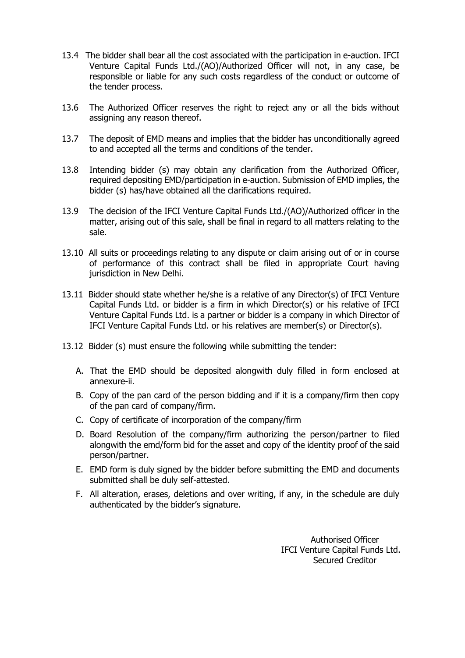- 13.4 The bidder shall bear all the cost associated with the participation in e-auction. IFCI Venture Capital Funds Ltd./(AO)/Authorized Officer will not, in any case, be responsible or liable for any such costs regardless of the conduct or outcome of the tender process.
- 13.6 The Authorized Officer reserves the right to reject any or all the bids without assigning any reason thereof.
- 13.7 The deposit of EMD means and implies that the bidder has unconditionally agreed to and accepted all the terms and conditions of the tender.
- 13.8 Intending bidder (s) may obtain any clarification from the Authorized Officer, required depositing EMD/participation in e-auction. Submission of EMD implies, the bidder (s) has/have obtained all the clarifications required.
- 13.9 The decision of the IFCI Venture Capital Funds Ltd./(AO)/Authorized officer in the matter, arising out of this sale, shall be final in regard to all matters relating to the sale.
- 13.10 All suits or proceedings relating to any dispute or claim arising out of or in course of performance of this contract shall be filed in appropriate Court having jurisdiction in New Delhi.
- 13.11 Bidder should state whether he/she is a relative of any Director(s) of IFCI Venture Capital Funds Ltd. or bidder is a firm in which Director(s) or his relative of IFCI Venture Capital Funds Ltd. is a partner or bidder is a company in which Director of IFCI Venture Capital Funds Ltd. or his relatives are member(s) or Director(s).
- 13.12 Bidder (s) must ensure the following while submitting the tender:
	- A. That the EMD should be deposited alongwith duly filled in form enclosed at annexure-ii.
	- B. Copy of the pan card of the person bidding and if it is a company/firm then copy of the pan card of company/firm.
	- C. Copy of certificate of incorporation of the company/firm
	- D. Board Resolution of the company/firm authorizing the person/partner to filed alongwith the emd/form bid for the asset and copy of the identity proof of the said person/partner.
	- E. EMD form is duly signed by the bidder before submitting the EMD and documents submitted shall be duly self-attested.
	- F. All alteration, erases, deletions and over writing, if any, in the schedule are duly authenticated by the bidder's signature.

Authorised Officer IFCI Venture Capital Funds Ltd. Secured Creditor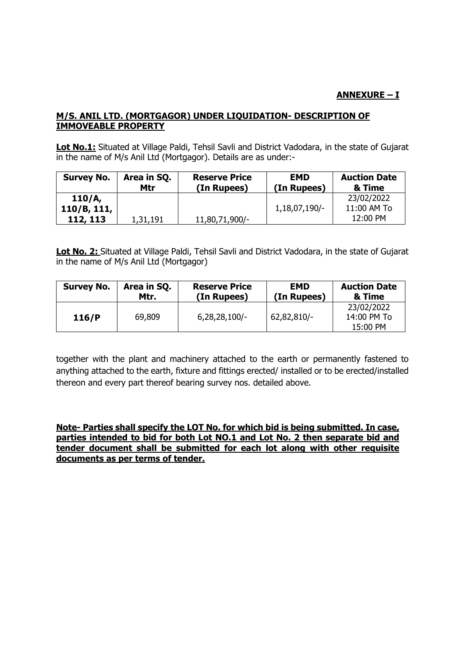# **ANNEXURE – I**

### **M/S. ANIL LTD. (MORTGAGOR) UNDER LIQUIDATION- DESCRIPTION OF IMMOVEABLE PROPERTY**

**Lot No.1:** Situated at Village Paldi, Tehsil Savli and District Vadodara, in the state of Gujarat in the name of M/s Anil Ltd (Mortgagor). Details are as under:-

| <b>Survey No.</b>    | Area in SQ.<br>Mtr | <b>Reserve Price</b><br>(In Rupees) | <b>EMD</b><br>(In Rupees) | <b>Auction Date</b><br>& Time |
|----------------------|--------------------|-------------------------------------|---------------------------|-------------------------------|
| 110/A<br>110/B, 111, |                    |                                     | 1,18,07,190/-             | 23/02/2022<br>11:00 AM To     |
| 112, 113             | 1,31,191           | 11,80,71,900/-                      |                           | 12:00 PM                      |

**Lot No. 2:** Situated at Village Paldi, Tehsil Savli and District Vadodara, in the state of Gujarat in the name of M/s Anil Ltd (Mortgagor)

| <b>Survey No.</b> | Area in SQ. | <b>Reserve Price</b> | <b>EMD</b>  | <b>Auction Date</b>                   |
|-------------------|-------------|----------------------|-------------|---------------------------------------|
|                   | Mtr.        | (In Rupees)          | (In Rupees) | & Time                                |
| 116/P             | 69,809      | $6,28,28,100$ -      | 62,82,810/- | 23/02/2022<br>14:00 PM To<br>15:00 PM |

together with the plant and machinery attached to the earth or permanently fastened to anything attached to the earth, fixture and fittings erected/ installed or to be erected/installed thereon and every part thereof bearing survey nos. detailed above.

**Note- Parties shall specify the LOT No. for which bid is being submitted. In case, parties intended to bid for both Lot NO.1 and Lot No. 2 then separate bid and tender document shall be submitted for each lot along with other requisite documents as per terms of tender.**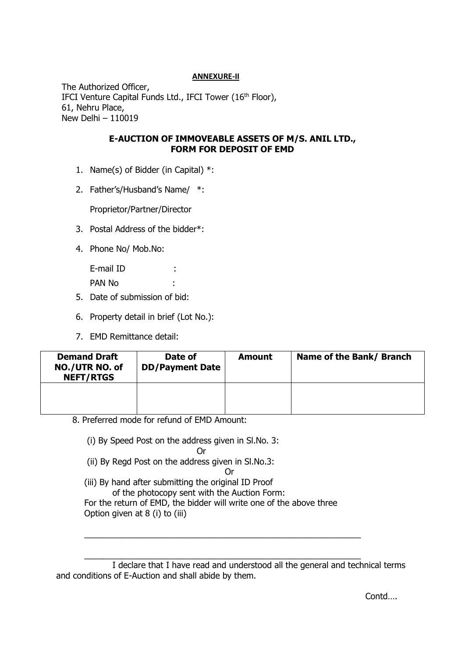#### **ANNEXURE-II**

The Authorized Officer, IFCI Venture Capital Funds Ltd., IFCI Tower (16<sup>th</sup> Floor), 61, Nehru Place, New Delhi – 110019

### **E-AUCTION OF IMMOVEABLE ASSETS OF M/S. ANIL LTD., FORM FOR DEPOSIT OF EMD**

- 1. Name(s) of Bidder (in Capital) \*:
- 2. Father's/Husband's Name/ \*:

Proprietor/Partner/Director

- 3. Postal Address of the bidder\*:
- 4. Phone No/ Mob.No:

E-mail ID : PAN No :

- 5. Date of submission of bid:
- 6. Property detail in brief (Lot No.):
- 7. EMD Remittance detail:

| <b>Demand Draft</b><br>NO./UTR NO. of<br><b>NEFT/RTGS</b> | Date of<br><b>DD/Payment Date</b> | <b>Amount</b> | Name of the Bank/ Branch |
|-----------------------------------------------------------|-----------------------------------|---------------|--------------------------|
|                                                           |                                   |               |                          |

8. Preferred mode for refund of EMD Amount:

- (i) By Speed Post on the address given in Sl.No. 3:
	- Or
- (ii) By Regd Post on the address given in Sl.No.3:
- **Contact Contact Contact Contact Contact Contact Contact Contact Contact Contact Contact Contact Contact Contact Contact Contact Contact Contact Contact Contact Contact Contact Contact Contact Contact Contact Contact Conta**

 $\_$  ,  $\_$  ,  $\_$  ,  $\_$  ,  $\_$  ,  $\_$  ,  $\_$  ,  $\_$  ,  $\_$  ,  $\_$  ,  $\_$  ,  $\_$  ,  $\_$  ,  $\_$  ,  $\_$  ,  $\_$  ,  $\_$  ,  $\_$  ,  $\_$ 

 $\_$  ,  $\_$  ,  $\_$  ,  $\_$  ,  $\_$  ,  $\_$  ,  $\_$  ,  $\_$  ,  $\_$  ,  $\_$  ,  $\_$  ,  $\_$  ,  $\_$  ,  $\_$  ,  $\_$  ,  $\_$  ,  $\_$  ,  $\_$  ,  $\_$ 

(iii) By hand after submitting the original ID Proof of the photocopy sent with the Auction Form:

For the return of EMD, the bidder will write one of the above three

Option given at 8 (i) to (iii)

Contd….

I declare that I have read and understood all the general and technical terms and conditions of E-Auction and shall abide by them.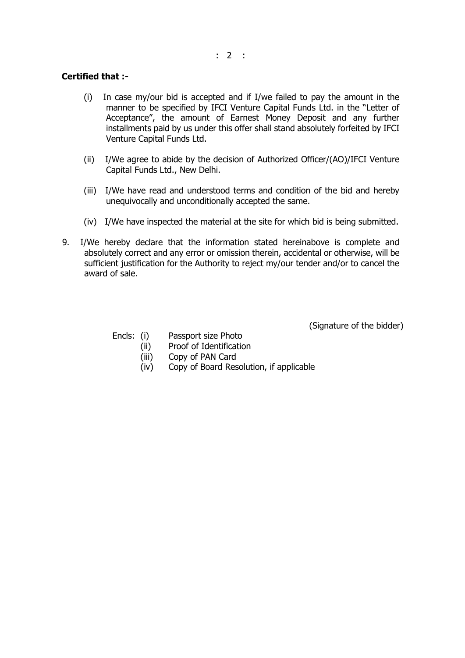$: 2 :$ 

### **Certified that :-**

- (i) In case my/our bid is accepted and if I/we failed to pay the amount in the manner to be specified by IFCI Venture Capital Funds Ltd. in the "Letter of Acceptance", the amount of Earnest Money Deposit and any further installments paid by us under this offer shall stand absolutely forfeited by IFCI Venture Capital Funds Ltd.
- (ii) I/We agree to abide by the decision of Authorized Officer/(AO)/IFCI Venture Capital Funds Ltd., New Delhi.
- (iii) I/We have read and understood terms and condition of the bid and hereby unequivocally and unconditionally accepted the same.
- (iv) I/We have inspected the material at the site for which bid is being submitted.
- 9. I/We hereby declare that the information stated hereinabove is complete and absolutely correct and any error or omission therein, accidental or otherwise, will be sufficient justification for the Authority to reject my/our tender and/or to cancel the award of sale.

(Signature of the bidder)

- Encls: (i) Passport size Photo
	- (ii) Proof of Identification
	- (iii) Copy of PAN Card
	- (iv) Copy of Board Resolution, if applicable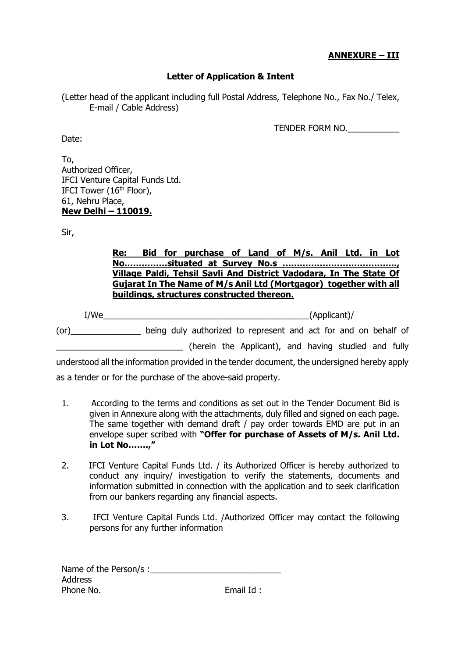# **ANNEXURE – III**

## **Letter of Application & Intent**

(Letter head of the applicant including full Postal Address, Telephone No., Fax No./ Telex, E-mail / Cable Address)

TENDER FORM NO.\_\_\_\_\_\_\_\_\_\_\_

Date:

To, Authorized Officer, IFCI Venture Capital Funds Ltd. IFCI Tower (16<sup>th</sup> Floor), 61, Nehru Place, **New Delhi – 110019.**

Sir,

## **Re: Bid for purchase of Land of M/s. Anil Ltd. in Lot No……………situated at Survey No.s …………………………………., Village Paldi, Tehsil Savli And District Vadodara, In The State Of Gujarat In The Name of M/s Anil Ltd (Mortgagor) together with all buildings, structures constructed thereon.**

I/We\_\_\_\_\_\_\_\_\_\_\_\_\_\_\_\_\_\_\_\_\_\_\_\_\_\_\_\_\_\_\_\_\_\_\_\_\_\_\_\_\_\_\_\_(Applicant)/ (or) being duly authorized to represent and act for and on behalf of (herein the Applicant), and having studied and fully understood all the information provided in the tender document, the undersigned hereby apply

as a tender or for the purchase of the above-said property.

- 1. According to the terms and conditions as set out in the Tender Document Bid is given in Annexure along with the attachments, duly filled and signed on each page. The same together with demand draft / pay order towards EMD are put in an envelope super scribed with **"Offer for purchase of Assets of M/s. Anil Ltd. in Lot No…….,"**
- 2. IFCI Venture Capital Funds Ltd. / its Authorized Officer is hereby authorized to conduct any inquiry/ investigation to verify the statements, documents and information submitted in connection with the application and to seek clarification from our bankers regarding any financial aspects.
- 3. IFCI Venture Capital Funds Ltd. /Authorized Officer may contact the following persons for any further information

| Name of the Person/s: |           |
|-----------------------|-----------|
| <b>Address</b>        |           |
| Phone No.             | Email Id: |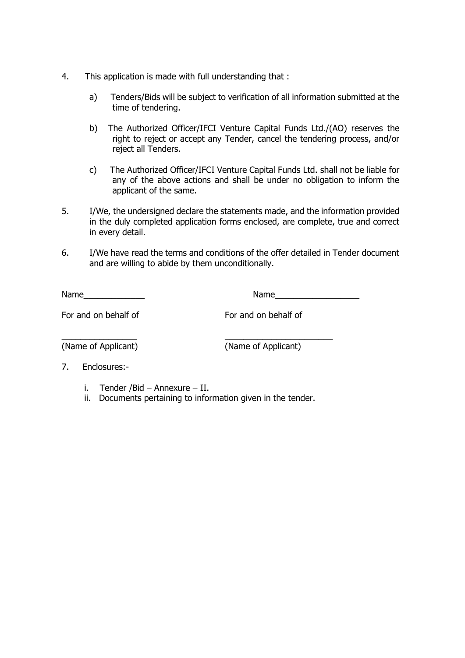- 4. This application is made with full understanding that :
	- a) Tenders/Bids will be subject to verification of all information submitted at the time of tendering.
	- b) The Authorized Officer/IFCI Venture Capital Funds Ltd./(AO) reserves the right to reject or accept any Tender, cancel the tendering process, and/or reject all Tenders.
	- c) The Authorized Officer/IFCI Venture Capital Funds Ltd. shall not be liable for any of the above actions and shall be under no obligation to inform the applicant of the same.
- 5. I/We, the undersigned declare the statements made, and the information provided in the duly completed application forms enclosed, are complete, true and correct in every detail.
- 6. I/We have read the terms and conditions of the offer detailed in Tender document and are willing to abide by them unconditionally.

Name\_\_\_\_\_\_\_\_\_\_\_\_\_ Name\_\_\_\_\_\_\_\_\_\_\_\_\_\_\_\_\_\_

For and on behalf of For and on behalf of

\_\_\_\_\_\_\_\_\_\_\_\_\_\_\_\_ \_\_\_\_\_\_\_\_\_\_\_\_\_\_\_\_\_\_\_\_\_\_\_ (Name of Applicant) (Name of Applicant)

- 7. Enclosures:
	- i. Tender /Bid Annexure II.
	- ii. Documents pertaining to information given in the tender.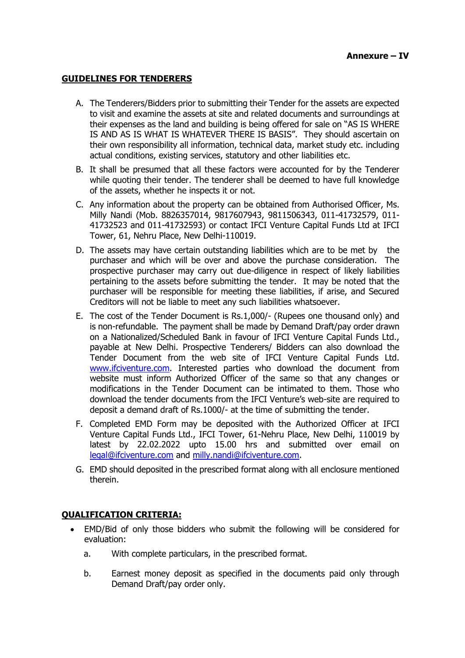### **GUIDELINES FOR TENDERERS**

- A. The Tenderers/Bidders prior to submitting their Tender for the assets are expected to visit and examine the assets at site and related documents and surroundings at their expenses as the land and building is being offered for sale on "AS IS WHERE IS AND AS IS WHAT IS WHATEVER THERE IS BASIS". They should ascertain on their own responsibility all information, technical data, market study etc. including actual conditions, existing services, statutory and other liabilities etc.
- B. It shall be presumed that all these factors were accounted for by the Tenderer while quoting their tender. The tenderer shall be deemed to have full knowledge of the assets, whether he inspects it or not.
- C. Any information about the property can be obtained from Authorised Officer, Ms. Milly Nandi (Mob. 8826357014, 9817607943, 9811506343, 011-41732579, 011- 41732523 and 011-41732593) or contact IFCI Venture Capital Funds Ltd at IFCI Tower, 61, Nehru Place, New Delhi-110019.
- D. The assets may have certain outstanding liabilities which are to be met by the purchaser and which will be over and above the purchase consideration. The prospective purchaser may carry out due-diligence in respect of likely liabilities pertaining to the assets before submitting the tender. It may be noted that the purchaser will be responsible for meeting these liabilities, if arise, and Secured Creditors will not be liable to meet any such liabilities whatsoever.
- E. The cost of the Tender Document is Rs.1,000/- (Rupees one thousand only) and is non-refundable. The payment shall be made by Demand Draft/pay order drawn on a Nationalized/Scheduled Bank in favour of IFCI Venture Capital Funds Ltd., payable at New Delhi. Prospective Tenderers/ Bidders can also download the Tender Document from the web site of IFCI Venture Capital Funds Ltd. [www.ifciventure.com.](http://www.ifciventure.com/) Interested parties who download the document from website must inform Authorized Officer of the same so that any changes or modifications in the Tender Document can be intimated to them. Those who download the tender documents from the IFCI Venture's web-site are required to deposit a demand draft of Rs.1000/- at the time of submitting the tender.
- F. Completed EMD Form may be deposited with the Authorized Officer at IFCI Venture Capital Funds Ltd., IFCI Tower, 61-Nehru Place, New Delhi, 110019 by latest by 22.02.2022 upto 15.00 hrs and submitted over email on [legal@ifciventure.com](mailto:legal@ifciventure.com) and [milly.nandi@ifciventure.com.](mailto:milly.nandi@ifciventure.com)
- G. EMD should deposited in the prescribed format along with all enclosure mentioned therein.

### **QUALIFICATION CRITERIA:**

- EMD/Bid of only those bidders who submit the following will be considered for evaluation:
	- a. With complete particulars, in the prescribed format.
	- b. Earnest money deposit as specified in the documents paid only through Demand Draft/pay order only.